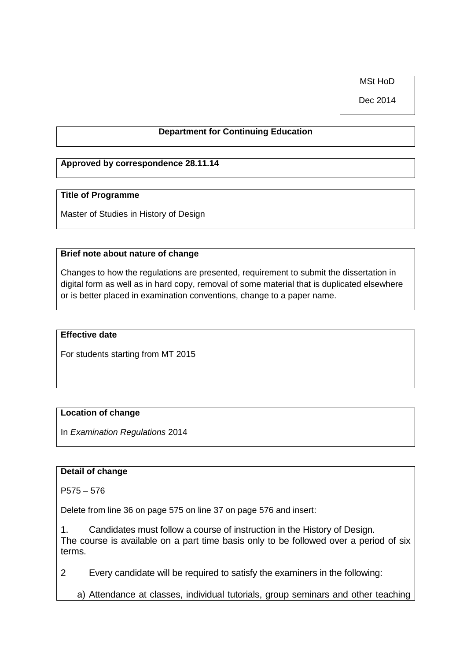MSt HoD

Dec 2014

## **Department for Continuing Education**

## **Approved by correspondence 28.11.14**

#### **Title of Programme**

Master of Studies in History of Design

#### **Brief note about nature of change**

Changes to how the regulations are presented, requirement to submit the dissertation in digital form as well as in hard copy, removal of some material that is duplicated elsewhere or is better placed in examination conventions, change to a paper name.

#### **Effective date**

For students starting from MT 2015

### **Location of change**

In *Examination Regulations* 2014

## **Detail of change**

P575 – 576

Delete from line 36 on page 575 on line 37 on page 576 and insert:

1. Candidates must follow a course of instruction in the History of Design. The course is available on a part time basis only to be followed over a period of six terms.

2 Every candidate will be required to satisfy the examiners in the following:

a) Attendance at classes, individual tutorials, group seminars and other teaching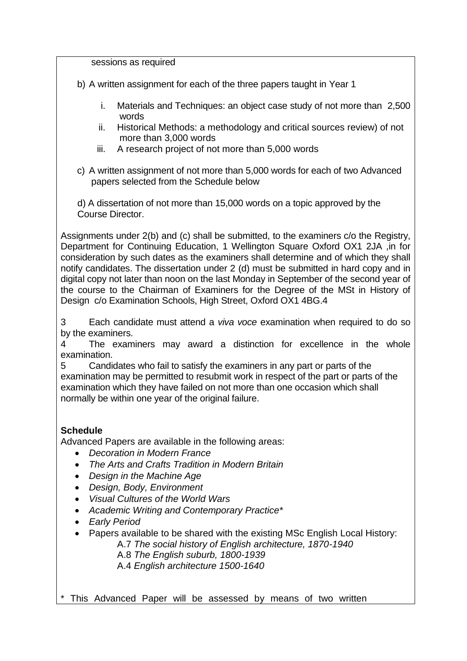sessions as required

b) A written assignment for each of the three papers taught in Year 1

- i. Materials and Techniques: an object case study of not more than 2,500 words
- ii. Historical Methods: a methodology and critical sources review) of not more than 3,000 words
- iii. A research project of not more than 5,000 words
- c) A written assignment of not more than 5,000 words for each of two Advanced papers selected from the Schedule below

d) A dissertation of not more than 15,000 words on a topic approved by the Course Director.

Assignments under 2(b) and (c) shall be submitted, to the examiners c/o the Registry, Department for Continuing Education, 1 Wellington Square Oxford OX1 2JA ,in for consideration by such dates as the examiners shall determine and of which they shall notify candidates. The dissertation under 2 (d) must be submitted in hard copy and in digital copy not later than noon on the last Monday in September of the second year of the course to the Chairman of Examiners for the Degree of the MSt in History of Design c/o Examination Schools, High Street, Oxford OX1 4BG.4

3 Each candidate must attend a *viva voce* examination when required to do so by the examiners.

4 The examiners may award a distinction for excellence in the whole examination.

5 Candidates who fail to satisfy the examiners in any part or parts of the examination may be permitted to resubmit work in respect of the part or parts of the examination which they have failed on not more than one occasion which shall normally be within one year of the original failure.

# **Schedule**

Advanced Papers are available in the following areas:

- *Decoration in Modern France*
- *The Arts and Crafts Tradition in Modern Britain*
- *Design in the Machine Age*
- *Design, Body, Environment*
- *Visual Cultures of the World Wars*
- *Academic Writing and Contemporary Practice\**
- *Early Period*
- Papers available to be shared with the existing MSc English Local History: A.7 *The social history of English architecture, 1870-1940*

A.8 *The English suburb, 1800-1939*

A.4 *English architecture 1500-1640*

This Advanced Paper will be assessed by means of two written